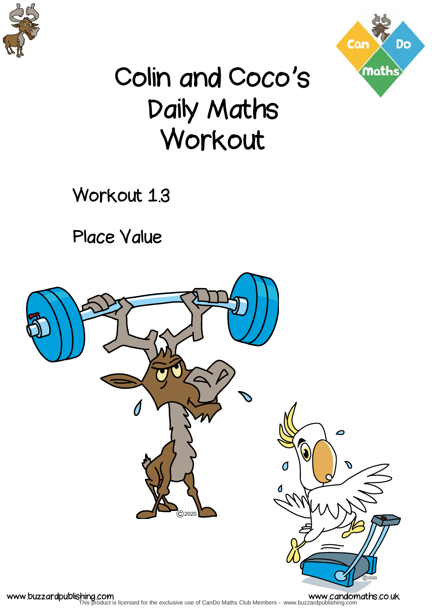



## Colin and Coco's Daily Maths Workout

Workout 1.3

Place Value

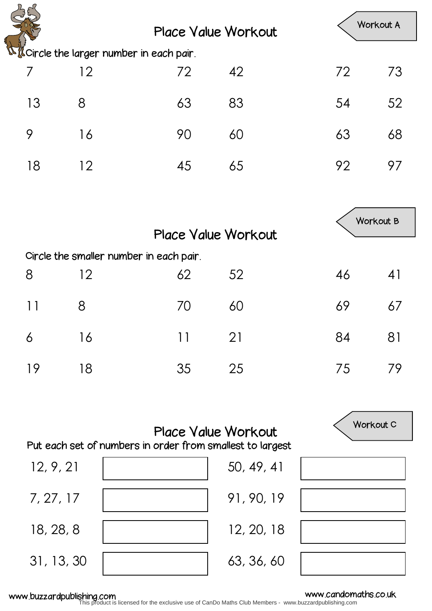|                                                                                         |    | <b>Place Value Workout</b>              |            |    | Workout A |
|-----------------------------------------------------------------------------------------|----|-----------------------------------------|------------|----|-----------|
| <b>National Exercise the larger number in each pair.</b>                                |    |                                         |            |    |           |
| 7                                                                                       | 12 | 72                                      | 42         | 72 | 73        |
| 13                                                                                      | 8  | 63                                      | 83         | 54 | 52        |
| 9                                                                                       | 16 | 90                                      | 60         | 63 | 68        |
| 18                                                                                      | 12 | 45                                      | 65         | 92 | 97        |
|                                                                                         |    |                                         |            |    |           |
|                                                                                         |    |                                         |            |    | Workout B |
| <b>Place Value Workout</b>                                                              |    |                                         |            |    |           |
|                                                                                         |    | Circle the smaller number in each pair. |            |    |           |
| 8                                                                                       | 12 | 62                                      | 52         | 46 | 41        |
| 11                                                                                      | 8  | 70                                      | 60         | 69 | 67        |
| 6                                                                                       | 16 | 11                                      | 21         | 84 | 81        |
| 19                                                                                      | 18 | 35                                      | 25         | 75 | 79        |
|                                                                                         |    |                                         |            |    |           |
| <b>Place Value Workout</b><br>Put each set of numbers in order from smallest to largest |    |                                         |            |    | Workout C |
|                                                                                         |    |                                         |            |    |           |
| 12, 9, 21                                                                               |    |                                         | 50, 49, 41 |    |           |
| 7, 27, 17                                                                               |    |                                         | 91, 90, 19 |    |           |
| 18, 28, 8                                                                               |    |                                         | 12, 20, 18 |    |           |

31, 13, 30

www.buzzardpublishing.com<br>This product is licensed for the exclusive use of CanDo Maths Club Members - www.buzzardpublishing.com

63, 36, 60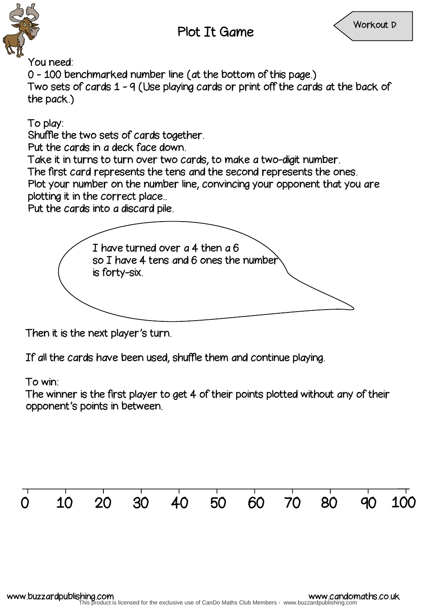

You need:

0 - 100 benchmarked number line (at the bottom of this page.) Two sets of cards 1 - 9 (Use playing cards or print off the cards at the back of the pack.)

To play:

Shuffle the two sets of cards together.

Put the cards in a deck face down.

Take it in turns to turn over two cards, to make a two-digit number.

The first card represents the tens and the second represents the ones.

Plot your number on the number line, convincing your opponent that you are plotting it in the correct place..

Put the cards into a discard pile.



Then it is the next player's turn.

If all the cards have been used, shuffle them and continue playing.

To win:

The winner is the first player to get 4 of their points plotted without any of their opponent's points in between.

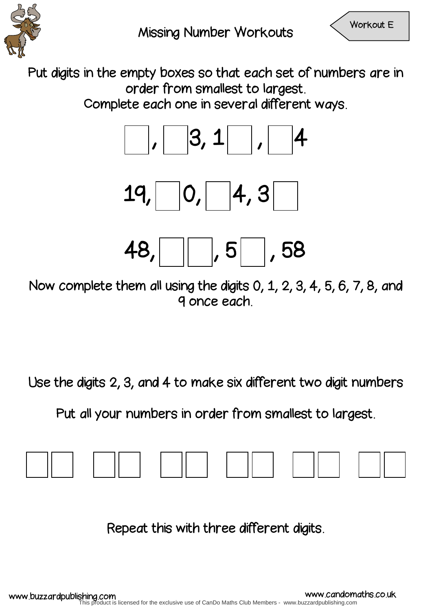

Put digits in the empty boxes so that each set of numbers are in order from smallest to largest.

Complete each one in several different ways.



Now complete them all using the digits 0, 1, 2, 3, 4, 5, 6, 7, 8, and 9 once each.

Use the digits 2, 3, and 4 to make six different two digit numbers

Put all your numbers in order from smallest to largest.



Repeat this with three different digits.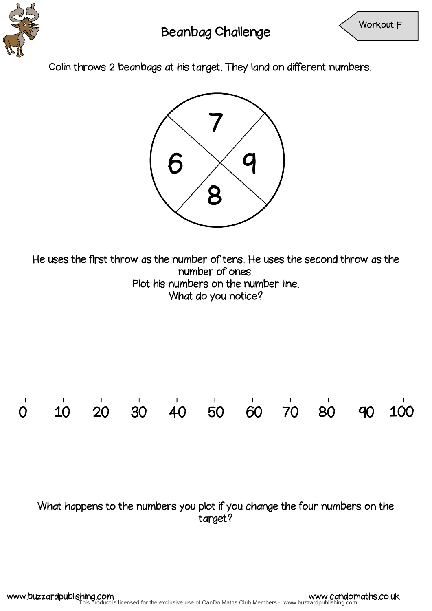

Colin throws 2 beanbags at his target. They land on different numbers.



He uses the first throw as the number of tens. He uses the second throw as the number of ones. Plot his numbers on the number line. What do you notice?

## 0 10 20 30 40 50 60 70 80 90 100

## What happens to the numbers you plot if you change the four numbers on the target?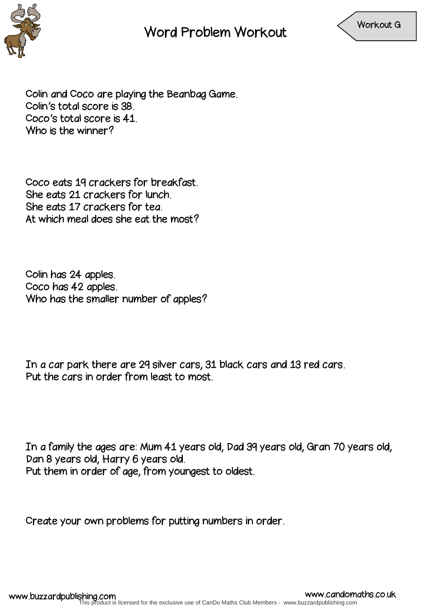

Word Problem Workout



Colin and Coco are playing the Beanbag Game. Colin's total score is 38. Coco's total score is 41. Who is the winner?

Coco eats 19 crackers for breakfast. She eats 21 crackers for lunch. She eats 17 crackers for tea. At which meal does she eat the most?

Colin has 24 apples. Coco has 42 apples. Who has the smaller number of apples?

In a car park there are 29 silver cars, 31 black cars and 13 red cars. Put the cars in order from least to most.

In a family the ages are: Mum 41 years old, Dad 39 years old, Gran 70 years old, Dan 8 years old, Harry 6 years old. Put them in order of age, from youngest to oldest.

Create your own problems for putting numbers in order.